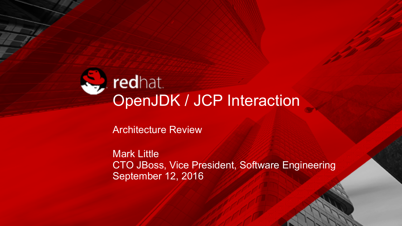# redhat.<br>OpenJDK / JCP Interaction

Architecture Review

Mark Little CTO JBoss, Vice President, Software Engineering September 12, 2016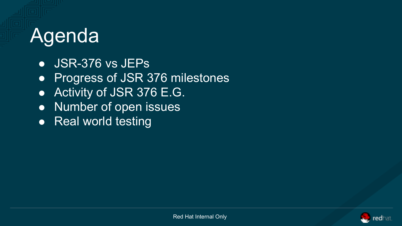## Agenda

- JSR-376 vs JEPs
- Progress of JSR 376 milestones
- Activity of JSR 376 E.G.
- Number of open issues
- Real world testing

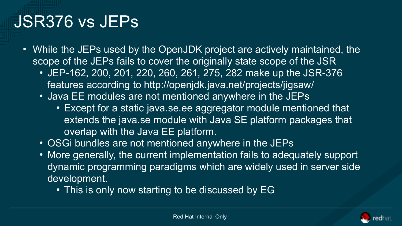#### JSR376 vs JEPs

- While the JEPs used by the OpenJDK project are actively maintained, the scope of the JEPs fails to cover the originally state scope of the JSR
	- JEP-162, 200, 201, 220, 260, 261, 275, 282 make up the JSR-376 features according to http://openjdk.java.net/projects/jigsaw/
	- Java EE modules are not mentioned anywhere in the JEPs
		- Except for a static java.se.ee aggregator module mentioned that extends the java.se module with Java SE platform packages that overlap with the Java EE platform.
	- OSGi bundles are not mentioned anywhere in the JEPs
	- More generally, the current implementation fails to adequately support dynamic programming paradigms which are widely used in server side development.
		- This is only now starting to be discussed by EG

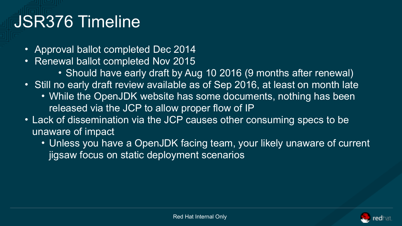#### JSR376 Timeline

- Approval ballot completed Dec 2014
- Renewal ballot completed Nov 2015
	- Should have early draft by Aug 10 2016 (9 months after renewal)
- Still no early draft review available as of Sep 2016, at least on month late
	- While the OpenJDK website has some documents, nothing has been released via the JCP to allow proper flow of IP
- Lack of dissemination via the JCP causes other consuming specs to be unaware of impact
	- Unless you have a OpenJDK facing team, your likely unaware of current jigsaw focus on static deployment scenarios

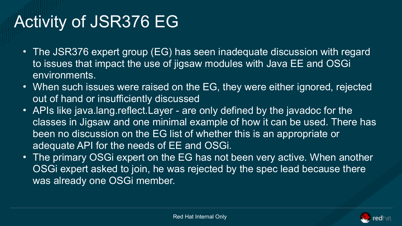#### Activity of JSR376 EG

- The JSR376 expert group (EG) has seen inadequate discussion with regard to issues that impact the use of jigsaw modules with Java EE and OSGi environments.
- When such issues were raised on the EG, they were either ignored, rejected out of hand or insufficiently discussed
- APIs like java.lang.reflect.Layer are only defined by the javadoc for the classes in Jigsaw and one minimal example of how it can be used. There has been no discussion on the EG list of whether this is an appropriate or adequate API for the needs of EE and OSGi.
- The primary OSGI expert on the EG has not been very active. When another OSGi expert asked to join, he was rejected by the spec lead because there was already one OSGi member.

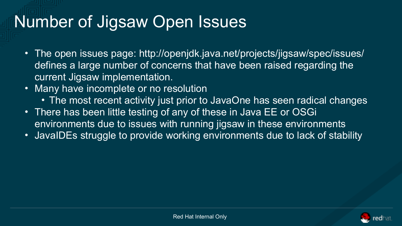#### Number of Jigsaw Open Issues

- The open issues page: http://openjdk.java.net/projects/jigsaw/spec/issues/ defines a large number of concerns that have been raised regarding the current Jigsaw implementation.
- Many have incomplete or no resolution
	- The most recent activity just prior to JavaOne has seen radical changes
- There has been little testing of any of these in Java EE or OSGi environments due to issues with running jigsaw in these environments
- JavaIDEs struggle to provide working environments due to lack of stability

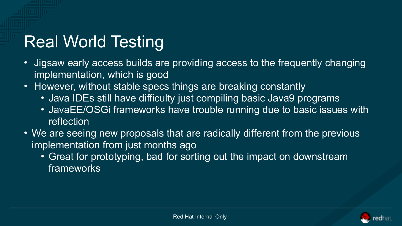### Real World Testing

- Jigsaw early access builds are providing access to the frequently changing implementation, which is good
- However, without stable specs things are breaking constantly
	- Java IDEs still have difficulty just compiling basic Java9 programs
	- JavaEE/OSGi frameworks have trouble running due to basic issues with reflection
- We are seeing new proposals that are radically different from the previous implementation from just months ago
	- Great for prototyping, bad for sorting out the impact on downstream frameworks